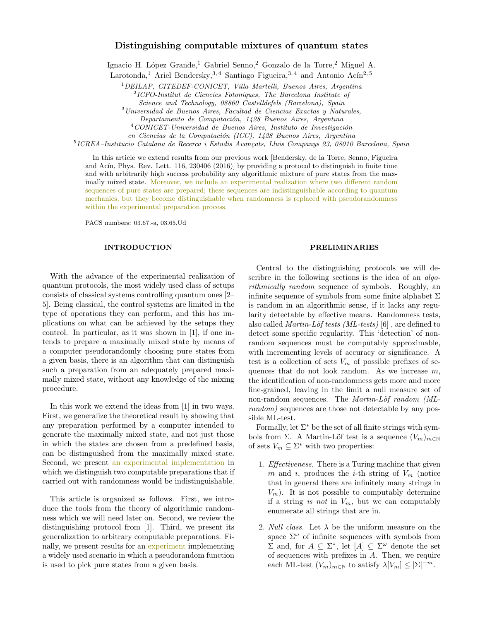# Distinguishing computable mixtures of quantum states

Ignacio H. López Grande,<sup>1</sup> Gabriel Senno,<sup>2</sup> Gonzalo de la Torre,<sup>2</sup> Miguel A.

Larotonda,<sup>1</sup> Ariel Bendersky,<sup>3,4</sup> Santiago Figueira,<sup>3,4</sup> and Antonio Ac $\hat{\rm{n}}$ <sup>2,5</sup>

<sup>1</sup>DEILAP, CITEDEF-CONICET, Villa Martelli, Buenos Aires, Argentina 2 ICFO-Institut de Ciencies Fotoniques, The Barcelona Institute of

Science and Technology, 08860 Castelldefels (Barcelona), Spain

 $3$ Universidad de Buenos Aires, Facultad de Ciencias Exactas y Naturales,

Departamento de Computación, 1428 Buenos Aires, Argentina

 $4$ CONICET-Universidad de Buenos Aires, Instituto de Investigación

en Ciencias de la Computación (ICC), 1428 Buenos Aires, Argentina

 $5$ ICREA–Institucio Catalana de Recerca i Estudis Avançats, Lluis Companys 23, 08010 Barcelona, Spain

In this article we extend results from our previous work [Bendersky, de la Torre, Senno, Figueira and Acín, Phys. Rev. Lett.  $116$ ,  $230406$   $(2016)$  by providing a protocol to distinguish in finite time and with arbitrarily high success probability any algorithmic mixture of pure states from the maximally mixed state. Moreover, we include an experimental realization where two different random sequences of pure states are prepared; these sequences are indistinguishable according to quantum mechanics, but they become distinguishable when randomness is replaced with pseudorandomness within the experimental preparation process.

PACS numbers: 03.67.-a, 03.65.Ud

### INTRODUCTION

With the advance of the experimental realization of quantum protocols, the most widely used class of setups consists of classical systems controlling quantum ones [2– 5]. Being classical, the control systems are limited in the type of operations they can perform, and this has implications on what can be achieved by the setups they control. In particular, as it was shown in [1], if one intends to prepare a maximally mixed state by means of a computer pseudorandomly choosing pure states from a given basis, there is an algorithm that can distinguish such a preparation from an adequately prepared maximally mixed state, without any knowledge of the mixing procedure.

In this work we extend the ideas from [1] in two ways. First, we generalize the theoretical result by showing that any preparation performed by a computer intended to generate the maximally mixed state, and not just those in which the states are chosen from a predefined basis, can be distinguished from the maximally mixed state. Second, we present an experimental implementation in which we distinguish two computable preparations that if carried out with randomness would be indistinguishable.

This article is organized as follows. First, we introduce the tools from the theory of algorithmic randomness which we will need later on. Second, we review the distinguishing protocol from [1]. Third, we present its generalization to arbitrary computable preparations. Finally, we present results for an experiment implementing a widely used scenario in which a pseudorandom function is used to pick pure states from a given basis.

#### PRELIMINARIES

Central to the distinguishing protocols we will describre in the following sections is the idea of an *algo*rithmically random sequence of symbols. Roughly, an infinite sequence of symbols from some finite alphabet  $\Sigma$ is random in an algorithmic sense, if it lacks any regularity detectable by effective means. Randomness tests, also called *Martin-Löf tests (ML-tests)* [6], are defined to detect some specific regularity. This 'detection' of nonrandom sequences must be computably approximable, with incrementing levels of accuracy or significance. A test is a collection of sets  $V_m$  of possible prefixes of sequences that do not look random. As we increase  $m$ , the identification of non-randomness gets more and more fine-grained, leaving in the limit a null measure set of non-random sequences. The *Martin-Löf random*  $ML$ random) sequences are those not detectable by any possible ML-test.

Formally, let  $\Sigma^*$  be the set of all finite strings with symbols from Σ. A Martin-Löf test is a sequence  $(V_m)_{m\in\mathbb{N}}$ of sets  $V_m \subseteq \Sigma^*$  with two properties:

- 1. Effectiveness. There is a Turing machine that given m and i, produces the *i*-th string of  $V_m$  (notice that in general there are infinitely many strings in  $V_m$ ). It is not possible to computably determine if a string is not in  $V_m$ , but we can computably enumerate all strings that are in.
- 2. Null class. Let  $\lambda$  be the uniform measure on the space  $\Sigma^{\omega}$  of infinite sequences with symbols from  $Σ$  and, for  $A ⊆ Σ^*$ , let  $[A] ⊆ Σ^ω$  denote the set of sequences with prefixes in A. Then, we require each ML-test  $(V_m)_{m \in \mathbb{N}}$  to satisfy  $\lambda[V_m] \leq |\Sigma|^{-m}$ .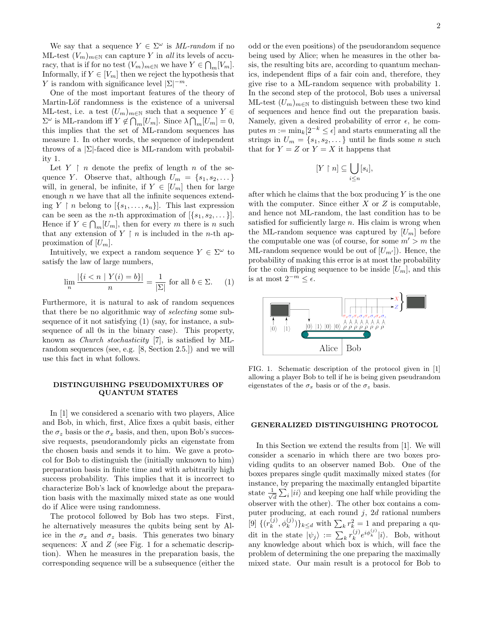We say that a sequence  $Y \in \Sigma^{\omega}$  is ML-random if no ML-test  $(V_m)_{m\in\mathbb{N}}$  can capture Y in all its levels of accuracy, that is if for no test  $(V_m)_{m \in \mathbb{N}}$  we have  $Y \in \bigcap_m [V_m]$ . Informally, if  $Y \in [V_m]$  then we reject the hypothesis that Y is random with significance level  $|\Sigma|^{-m}$ .

One of the most important features of the theory of Martin-Löf randomness is the existence of a universal ML-test, i.e. a test  $(U_m)_{m \in \mathbb{N}}$  such that a sequence  $Y \in$  $\Sigma^{\omega}$  is ML-random iff  $Y \notin \bigcap_m [U_m]$ . Since  $\lambda \bigcap_m [U_m] = 0$ , this implies that the set of ML-random sequences has measure 1. In other words, the sequence of independent throws of a  $\Sigma$ -faced dice is ML-random with probability 1.

Let  $Y \restriction n$  denote the prefix of length n of the sequence Y. Observe that, although  $U_m = \{s_1, s_2, \dots\}$ will, in general, be infinite, if  $Y \in [U_m]$  then for large enough  $n$  we have that all the infinite sequences extending Y  $\mid n$  belong to  $[\{s_1, \ldots, s_n\}]$ . This last expression can be seen as the *n*-th approximation of  $[\{s_1, s_2, \dots\}].$ Hence if  $Y \in \bigcap_m [U_m]$ , then for every m there is n such that any extension of  $Y \restriction n$  is included in the *n*-th approximation of  $[U_m]$ .

Intuitively, we expect a random sequence  $Y \in \Sigma^{\omega}$  to satisfy the law of large numbers,

$$
\lim_{n} \frac{|\{i < n \mid Y(i) = b\}|}{n} = \frac{1}{|\Sigma|} \text{ for all } b \in \Sigma. \tag{1}
$$

Furthermore, it is natural to ask of random sequences that there be no algorithmic way of selecting some subsequence of it not satisfying (1) (say, for instance, a subsequence of all 0s in the binary case). This property, known as Church stochasticity [7], is satisfied by MLrandom sequences (see, e.g. [8, Section 2.5.]) and we will use this fact in what follows.

### DISTINGUISHING PSEUDOMIXTURES OF QUANTUM STATES

In [1] we considered a scenario with two players, Alice and Bob, in which, first, Alice fixes a qubit basis, either the  $\sigma_z$  basis or the  $\sigma_x$  basis, and then, upon Bob's successive requests, pseudorandomly picks an eigenstate from the chosen basis and sends it to him. We gave a protocol for Bob to distinguish the (initially unknown to him) preparation basis in finite time and with arbitrarily high success probability. This implies that it is incorrect to characterize Bob's lack of knowledge about the preparation basis with the maximally mixed state as one would do if Alice were using randomness.

The protocol followed by Bob has two steps. First, he alternatively measures the qubits being sent by Alice in the  $\sigma_x$  and  $\sigma_z$  basis. This generates two binary sequences:  $X$  and  $Z$  (see Fig. 1 for a schematic description). When he measures in the preparation basis, the corresponding sequence will be a subsequence (either the

odd or the even positions) of the pseudorandom sequence being used by Alice; when he measures in the other basis, the resulting bits are, according to quantum mechanics, independent flips of a fair coin and, therefore, they give rise to a ML-random sequence with probability 1. In the second step of the protocol, Bob uses a universal ML-test  $(U_m)_{m\in\mathbb{N}}$  to distinguish between these two kind of sequences and hence find out the preparation basis. Namely, given a desired probability of error  $\epsilon$ , he computes  $m := \min_k[2^{-k} \leq \epsilon]$  and starts enumerating all the strings in  $U_m = \{s_1, s_2, \dots\}$  until he finds some *n* such that for  $Y = Z$  or  $Y = X$  it happens that

$$
[Y \restriction n] \subseteq \bigcup_{i \leq n} [s_i],
$$

after which he claims that the box producing  $Y$  is the one with the computer. Since either  $X$  or  $Z$  is computable, and hence not ML-random, the last condition has to be satisfied for sufficiently large  $n$ . His claim is wrong when the ML-random sequence was captured by  $[U_m]$  before the computable one was (of course, for some  $m' > m$  the ML-random sequence would be out of  $[U_{m'}]$ . Hence, the probability of making this error is at most the probability for the coin flipping sequence to be inside  $[U_m]$ , and this is at most  $2^{-m} \leq \epsilon$ .



FIG. 1. Schematic description of the protocol given in [1] allowing a player Bob to tell if he is being given pseudrandom eigenstates of the  $\sigma_x$  basis or of the  $\sigma_z$  basis.

### GENERALIZED DISTINGUISHING PROTOCOL

In this Section we extend the results from [1]. We will consider a scenario in which there are two boxes providing qudits to an observer named Bob. One of the boxes prepares single qudit maximally mixed states (for instance, by preparing the maximally entangled bipartite state  $\frac{1}{4}$  $\frac{1}{\overline{d}}\sum_i |ii\rangle$  and keeping one half while providing the observer with the other). The other box contains a computer producing, at each round  $j$ , 2d rational numbers [9]  $\{ (r_k^{(j)} \)}$  ${k \choose k}, \phi_k^{(j)}\}$ <sub>k $\leq_d$ </sub> with  $\sum_k r_k^2 = 1$  and preparing a qudit in the state  $|\psi_j\rangle := \sum_k r_k^{(j)}$  $_{k}^{(j)}e^{i\phi_{k}^{(j)}}|i\rangle$ . Bob, without any knowledge about which box is which, will face the problem of determining the one preparing the maximally mixed state. Our main result is a protocol for Bob to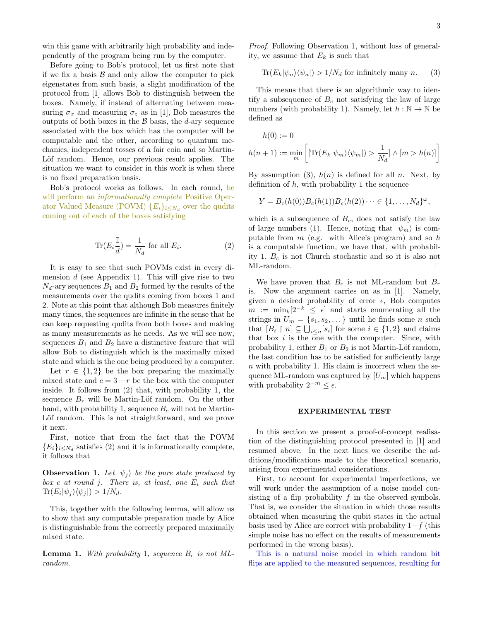win this game with arbitrarily high probability and independently of the program being run by the computer.

Before going to Bob's protocol, let us first note that if we fix a basis  $\beta$  and only allow the computer to pick eigenstates from such basis, a slight modification of the protocol from [1] allows Bob to distinguish between the boxes. Namely, if instead of alternating between measuring  $\sigma_x$  and measuring  $\sigma_z$  as in [1], Bob measures the outputs of both boxes in the  $\beta$  basis, the d-ary sequence associated with the box which has the computer will be computable and the other, according to quantum mechanics, independent tosses of a fair coin and so Martin-Löf random. Hence, our previous result applies. The situation we want to consider in this work is when there is no fixed preparation basis.

Bob's protocol works as follows. In each round, he will perform an *informationally complete* Positive Operator Valued Measure (POVM)  ${E_i}_{i \le N_d}$  over the qudits coming out of each of the boxes satisfying

$$
\operatorname{Tr}(E_i \frac{\mathbb{I}}{d}) = \frac{1}{N_d} \text{ for all } E_i.
$$
 (2)

It is easy to see that such POVMs exist in every dimension  $d$  (see Appendix 1). This will give rise to two  $N_d$ -ary sequences  $B_1$  and  $B_2$  formed by the results of the measurements over the qudits coming from boxes 1 and 2. Note at this point that although Bob measures finitely many times, the sequences are infinite in the sense that he can keep requesting qudits from both boxes and making as many measurements as he needs. As we will see now, sequences  $B_1$  and  $B_2$  have a distinctive feature that will allow Bob to distinguish which is the maximally mixed state and which is the one being produced by a computer.

Let  $r \in \{1,2\}$  be the box preparing the maximally mixed state and  $c = 3 - r$  be the box with the computer inside. It follows from (2) that, with probability 1, the sequence  $B_r$  will be Martin-Löf random. On the other hand, with probability 1, sequence  $B_c$  will not be Martin-Löf random. This is not straightforward, and we prove it next.

First, notice that from the fact that the POVM  ${E<sub>i</sub>}<sub>i≤N<sub>d</sub></sub>$  satisfies (2) and it is informationally complete, it follows that

**Observation 1.** Let  $|\psi_i\rangle$  be the pure state produced by box c at round j. There is, at least, one  $E_i$  such that  $\text{Tr}(E_i|\psi_j\rangle\langle\psi_j|) > 1/N_d.$ 

This, together with the following lemma, will allow us to show that any computable preparation made by Alice is distinguishable from the correctly prepared maximally mixed state.

**Lemma 1.** With probability 1, sequence  $B_c$  is not MLrandom.

Proof. Following Observation 1, without loss of generality, we assume that  $E_k$  is such that

$$
\text{Tr}(E_k|\psi_n\rangle\langle\psi_n|) > 1/N_d \text{ for infinitely many } n. \tag{3}
$$

This means that there is an algorithmic way to identify a subsequence of  $B<sub>c</sub>$  not satisfying the law of large numbers (with probability 1). Namely, let  $h : \mathbb{N} \to \mathbb{N}$  be defined as

$$
h(0) := 0
$$
  

$$
h(n+1) := \min_{m} \left[ \left[ \text{Tr}(E_k | \psi_m \rangle \langle \psi_m |) > \frac{1}{N_d} \right] \wedge [m > h(n)] \right]
$$

By assumption (3),  $h(n)$  is defined for all n. Next, by definition of  $h$ , with probability 1 the sequence

$$
Y = B_c(h(0))B_c(h(1))B_c(h(2))\cdots \in \{1,\ldots,N_d\}^{\omega},
$$

which is a subsequence of  $B_c$ , does not satisfy the law of large numbers (1). Hence, noting that  $|\psi_m\rangle$  is computable from  $m$  (e.g. with Alice's program) and so  $h$ is a computable function, we have that, with probability 1,  $B_c$  is not Church stochastic and so it is also not ML-random.  $\Box$ 

We have proven that  $B_c$  is not ML-random but  $B_r$ is. Now the argument carries on as in [1]. Namely, given a desired probability of error  $\epsilon$ , Bob computes  $m := \min_k[2^{-k} \leq \epsilon]$  and starts enumerating all the strings in  $U_m = \{s_1, s_2, \dots\}$  until he finds some n such that  $[B_i \restriction n] \subseteq \bigcup_{i \leq n} [s_i]$  for some  $i \in \{1,2\}$  and claims that box  $i$  is the one with the computer. Since, with probability 1, either  $B_1$  or  $B_2$  is not Martin-Löf random, the last condition has to be satisfied for sufficiently large  $n$  with probability 1. His claim is incorrect when the sequence ML-random was captured by  $[U_m]$  which happens with probability  $2^{-m} \leq \epsilon$ .

#### EXPERIMENTAL TEST

In this section we present a proof-of-concept realisation of the distinguishing protocol presented in [1] and resumed above. In the next lines we describe the additions/modifications made to the theoretical scenario, arising from experimental considerations.

First, to account for experimental imperfections, we will work under the assumption of a noise model consisting of a flip probability  $f$  in the observed symbols. That is, we consider the situation in which those results obtained when measuring the qubit states in the actual basis used by Alice are correct with probability  $1-f$  (this simple noise has no effect on the results of measurements performed in the wrong basis).

This is a natural noise model in which random bit flips are applied to the measured sequences, resulting for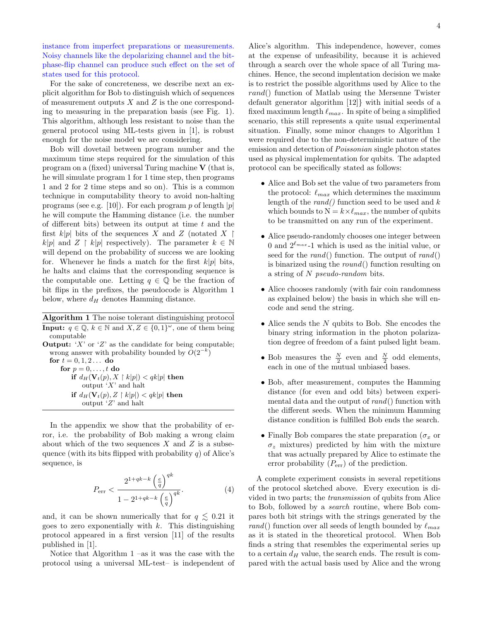instance from imperfect preparations or measurements. Noisy channels like the depolarizing channel and the bitphase-flip channel can produce such effect on the set of states used for this protocol.

For the sake of concreteness, we describe next an explicit algorithm for Bob to distinguish which of sequences of measurement outputs  $X$  and  $Z$  is the one corresponding to measuring in the preparation basis (see Fig. 1). This algorithm, although less resistant to noise than the general protocol using ML-tests given in [1], is robust enough for the noise model we are considering.

Bob will dovetail between program number and the maximum time steps required for the simulation of this program on a (fixed) universal Turing machine V (that is, he will simulate program 1 for 1 time step, then programs 1 and 2 for 2 time steps and so on). This is a common technique in computability theory to avoid non-halting programs (see e.g. [10]). For each program p of length  $|p|$ he will compute the Hamming distance (i.e. the number of different bits) between its output at time  $t$  and the first  $k|p|$  bits of the sequences X and Z (notated X |  $k|p|$  and  $Z \restriction k|p|$  respectively). The parameter  $k \in \mathbb{N}$ will depend on the probability of success we are looking for. Whenever he finds a match for the first  $k|p|$  bits, he halts and claims that the corresponding sequence is the computable one. Letting  $q \in \mathbb{Q}$  be the fraction of bit flips in the prefixes, the pseudocode is Algorithm 1 below, where  $d_H$  denotes Hamming distance.

Algorithm 1 The noise tolerant distinguishing protocol **Input:**  $q \in \mathbb{Q}$ ,  $k \in \mathbb{N}$  and  $X, Z \in \{0, 1\}^{\omega}$ , one of them being computable

**Output:** 'X' or 'Z' as the candidate for being computable; wrong answer with probability bounded by  $O(2^{-k})$ for  $t = 0, 1, 2...$  do for  $p = 0, \ldots, t$  do if  $d_H(\mathbf{V}_t(p), X \restriction k|p|) < qk|p|$  then output  $'X'$  and halt if  $d_H(\mathbf{V}_t(p), Z \restriction k|p|) < qk|p|$  then output  $Z'$  and halt

In the appendix we show that the probability of error, i.e. the probability of Bob making a wrong claim about which of the two sequences  $X$  and  $Z$  is a subsequence (with its bits flipped with probability  $q$ ) of Alice's sequence, is

$$
P_{\text{err}} < \frac{2^{1+qk-k} \left(\frac{e}{q}\right)^{qk}}{1 - 2^{1+qk-k} \left(\frac{e}{q}\right)^{qk}}.\tag{4}
$$

and, it can be shown numerically that for  $q \lesssim 0.21$  it goes to zero exponentially with  $k$ . This distinguishing protocol appeared in a first version [11] of the results published in [1].

Notice that Algorithm 1 –as it was the case with the protocol using a universal ML-test– is independent of

Alice's algorithm. This independence, however, comes at the expense of unfeasibility, because it is achieved through a search over the whole space of all Turing machines. Hence, the second implentation decision we make is to restrict the possible algorithms used by Alice to the rand() function of Matlab using the Mersenne Twister default generator algorithm [12]} with initial seeds of a fixed maximum length  $\ell_{max}$ . In spite of being a simplified scenario, this still represents a quite usual experimental situation. Finally, some minor changes to Algorithm 1 were required due to the non-deterministic nature of the emission and detection of *Poissonian* single photon states used as physical implementation for qubits. The adapted protocol can be specifically stated as follows:

- Alice and Bob set the value of two parameters from the protocol:  $\ell_{max}$  which determines the maximum length of the  $rand()$  function seed to be used and  $k$ which bounds to  $N = k \times \ell_{max}$ , the number of qubits to be transmitted on any run of the experiment.
- Alice pseudo-randomly chooses one integer between 0 and  $2^{\ell_{max}}$ -1 which is used as the initial value, or seed for the  $rand()$  function. The output of  $rand()$ is binarized using the round() function resulting on a string of N pseudo-random bits.
- Alice chooses randomly (with fair coin randomness as explained below) the basis in which she will encode and send the string.
- $\bullet$  Alice sends the  $N$  qubits to Bob. She encodes the binary string information in the photon polarization degree of freedom of a faint pulsed light beam.
- Bob measures the  $\frac{N}{2}$  even and  $\frac{N}{2}$  odd elements, each in one of the mutual unbiased bases.
- Bob, after measurement, computes the Hamming distance (for even and odd bits) between experimental data and the output of  $rand()$  function with the different seeds. When the minimum Hamming distance condition is fulfilled Bob ends the search.
- Finally Bob compares the state preparation ( $\sigma_x$  or  $\sigma_z$  mixtures) predicted by him with the mixture that was actually prepared by Alice to estimate the error probability  $(P_{\text{err}})$  of the prediction.

A complete experiment consists in several repetitions of the protocol sketched above. Every execution is divided in two parts; the transmission of qubits from Alice to Bob, followed by a search routine, where Bob compares both bit strings with the strings generated by the rand() function over all seeds of length bounded by  $\ell_{max}$ as it is stated in the theoretical protocol. When Bob finds a string that resembles the experimental series up to a certain  $d_H$  value, the search ends. The result is compared with the actual basis used by Alice and the wrong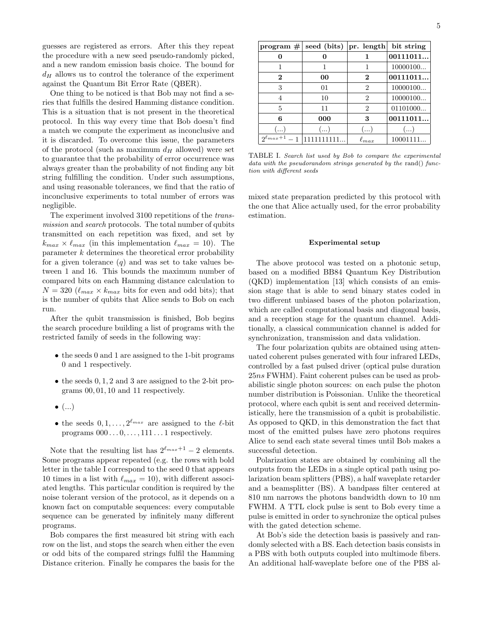guesses are registered as errors. After this they repeat the procedure with a new seed pseudo-randomly picked, and a new random emission basis choice. The bound for  $d_H$  allows us to control the tolerance of the experiment against the Quantum Bit Error Rate (QBER).

One thing to be noticed is that Bob may not find a series that fulfills the desired Hamming distance condition. This is a situation that is not present in the theoretical protocol. In this way every time that Bob doesn't find a match we compute the experiment as inconclusive and it is discarded. To overcome this issue, the parameters of the protocol (such as maximum  $d_H$  allowed) were set to guarantee that the probability of error occurrence was always greater than the probability of not finding any bit string fulfilling the condition. Under such assumptions, and using reasonable tolerances, we find that the ratio of inconclusive experiments to total number of errors was negligible.

The experiment involved 3100 repetitions of the transmission and search protocols. The total number of qubits transmitted on each repetition was fixed, and set by  $k_{max} \times \ell_{max}$  (in this implementation  $\ell_{max} = 10$ ). The parameter  $k$  determines the theoretical error probability for a given tolerance  $(q)$  and was set to take values between 1 and 16. This bounds the maximum number of compared bits on each Hamming distance calculation to  $N = 320 \; (\ell_{max} \times k_{max}$  bits for even and odd bits); that is the number of qubits that Alice sends to Bob on each run.

After the qubit transmission is finished, Bob begins the search procedure building a list of programs with the restricted family of seeds in the following way:

- the seeds 0 and 1 are assigned to the 1-bit programs 0 and 1 respectively.
- the seeds 0, 1, 2 and 3 are assigned to the 2-bit programs 00, 01, 10 and 11 respectively.
- $\bullet$   $(\ldots)$
- the seeds  $0, 1, \ldots, 2^{\ell_{max}}$  are assigned to the  $\ell$ -bit programs  $000 \ldots 0, \ldots, 111 \ldots 1$  respectively.

Note that the resulting list has  $2^{\ell_{max}+1} - 2$  elements. Some programs appear repeated (e.g. the rows with bold letter in the table I correspond to the seed 0 that appears 10 times in a list with  $\ell_{max} = 10$ , with different associated lengths. This particular condition is required by the noise tolerant version of the protocol, as it depends on a known fact on computable sequences: every computable sequence can be generated by infinitely many different programs.

Bob compares the first measured bit string with each row on the list, and stops the search when either the even or odd bits of the compared strings fulfil the Hamming Distance criterion. Finally he compares the basis for the

| program $#$             | seed (bits) $ pr.$ length |                | bit string |
|-------------------------|---------------------------|----------------|------------|
|                         |                           |                | 00111011   |
|                         |                           |                | 10000100   |
| 2                       | 00                        | $\bf{2}$       | 00111011   |
| 3                       | 01                        | $\overline{2}$ | 10000100   |
| 4                       | 10                        | 2              | 10000100   |
| 5                       | 11                        | 2              | 01101000   |
| 6                       | 000                       | 3              | 00111011   |
| $(\,\ldots\,)$          | ()                        | ()             | ()         |
| $2\ell_{max}+1$<br>$-1$ |                           | $\ell_{max}$   | 10001111   |

TABLE I. Search list used by Bob to compare the experimental data with the pseudorandom strings generated by the rand() function with different seeds

mixed state preparation predicted by this protocol with the one that Alice actually used, for the error probability estimation.

#### Experimental setup

The above protocol was tested on a photonic setup, based on a modified BB84 Quantum Key Distribution (QKD) implementation [13] which consists of an emission stage that is able to send binary states coded in two different unbiased bases of the photon polarization, which are called computational basis and diagonal basis, and a reception stage for the quantum channel. Additionally, a classical communication channel is added for synchronization, transmission and data validation.

The four polarization qubits are obtained using attenuated coherent pulses generated with four infrared LEDs, controlled by a fast pulsed driver (optical pulse duration 25ns FWHM). Faint coherent pulses can be used as probabilistic single photon sources: on each pulse the photon number distribution is Poissonian. Unlike the theoretical protocol, where each qubit is sent and received deterministically, here the transmission of a qubit is probabilistic. As opposed to QKD, in this demonstration the fact that most of the emitted pulses have zero photons requires Alice to send each state several times until Bob makes a successful detection.

Polarization states are obtained by combining all the outputs from the LEDs in a single optical path using polarization beam splitters (PBS), a half waveplate retarder and a beamsplitter (BS). A bandpass filter centered at 810 nm narrows the photons bandwidth down to 10 nm FWHM. A TTL clock pulse is sent to Bob every time a pulse is emitted in order to synchronize the optical pulses with the gated detection scheme.

At Bob's side the detection basis is passively and randomly selected with a BS. Each detection basis consists in a PBS with both outputs coupled into multimode fibers. An additional half-waveplate before one of the PBS al-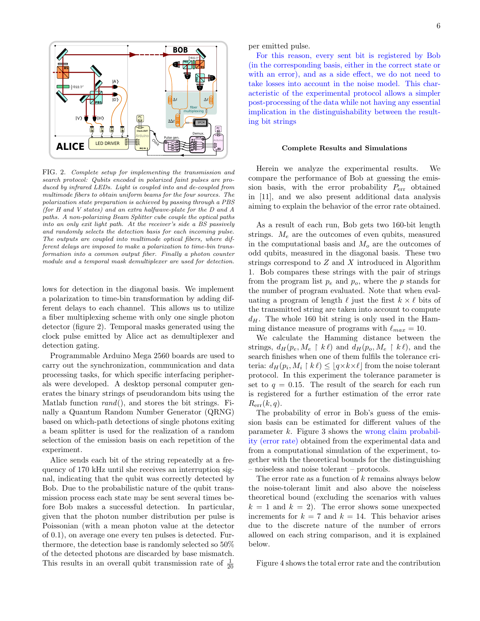

FIG. 2. Complete setup for implementing the transmission and search protocol: Qubits encoded in polarized faint pulses are produced by infrared LEDs. Light is coupled into and de-coupled from multimode fibers to obtain uniform beams for the four sources. The polarization state preparation is achieved by passing through a PBS (for H and V states) and an extra halfwave-plate for the D and A paths. A non-polarizing Beam Splitter cube couple the optical paths into an only exit light path. At the receiver's side a BS passively and randomly selects the detection basis for each incoming pulse. The outputs are coupled into multimode optical fibers, where different delays are imposed to make a polarization to time-bin transformation into a common output fiber. Finally a photon counter module and a temporal mask demultiplexer are used for detection.

lows for detection in the diagonal basis. We implement a polarization to time-bin transformation by adding different delays to each channel. This allows us to utilize a fiber multiplexing scheme with only one single photon detector (figure 2). Temporal masks generated using the clock pulse emitted by Alice act as demultiplexer and detection gating.

Programmable Arduino Mega 2560 boards are used to carry out the synchronization, communication and data processing tasks, for which specific interfacing peripherals were developed. A desktop personal computer generates the binary strings of pseudorandom bits using the Matlab function  $rand()$ , and stores the bit strings. Finally a Quantum Random Number Generator (QRNG) based on which-path detections of single photons exiting a beam splitter is used for the realization of a random selection of the emission basis on each repetition of the experiment.

Alice sends each bit of the string repeatedly at a frequency of 170 kHz until she receives an interruption signal, indicating that the qubit was correctly detected by Bob. Due to the probabilistic nature of the qubit transmission process each state may be sent several times before Bob makes a successful detection. In particular, given that the photon number distribution per pulse is Poissonian (with a mean photon value at the detector of 0.1), on average one every ten pulses is detected. Furthermore, the detection base is randomly selected so 50% of the detected photons are discarded by base mismatch. This results in an overall qubit transmission rate of  $\frac{1}{20}$ 

per emitted pulse.

For this reason, every sent bit is registered by Bob (in the corresponding basis, either in the correct state or with an error), and as a side effect, we do not need to take losses into account in the noise model. This characteristic of the experimental protocol allows a simpler post-processing of the data while not having any essential implication in the distinguishability between the resulting bit strings

#### Complete Results and Simulations

Herein we analyze the experimental results. We compare the performance of Bob at guessing the emission basis, with the error probability  $P_{\text{err}}$  obtained in [11], and we also present additional data analysis aiming to explain the behavior of the error rate obtained.

As a result of each run, Bob gets two 160-bit length strings.  $M_e$  are the outcomes of even qubits, measured in the computational basis and  $M<sub>o</sub>$  are the outcomes of odd qubits, measured in the diagonal basis. These two strings correspond to Z and X introduced in Algorithm 1. Bob compares these strings with the pair of strings from the program list  $p_e$  and  $p_o$ , where the p stands for the number of program evaluated. Note that when evaluating a program of length  $\ell$  just the first  $k \times \ell$  bits of the transmitted string are taken into account to compute  $d_H$ . The whole 160 bit string is only used in the Hamming distance measure of programs with  $\ell_{max} = 10$ .

We calculate the Hamming distance between the strings,  $d_H(p_e, M_e \restriction k\ell)$  and  $d_H(p_o, M_e \restriction k\ell)$ , and the search finishes when one of them fulfils the tolerance criteria:  $d_H(p_i, M_i \restriction k\ell) \leq \lfloor q \times k \times \ell \rfloor$  from the noise tolerant protocol. In this experiment the tolerance parameter is set to  $q = 0.15$ . The result of the search for each run is registered for a further estimation of the error rate  $R_{\text{err}}(k,q).$ 

The probability of error in Bob's guess of the emission basis can be estimated for different values of the parameter  $k$ . Figure 3 shows the wrong claim probability (error rate) obtained from the experimental data and from a computational simulation of the experiment, together with the theoretical bounds for the distinguishing – noiseless and noise tolerant – protocols.

The error rate as a function of  $k$  remains always below the noise-tolerant limit and also above the noiseless theoretical bound (excluding the scenarios with values  $k = 1$  and  $k = 2$ . The error shows some unexpected increments for  $k = 7$  and  $k = 14$ . This behavior arises due to the discrete nature of the number of errors allowed on each string comparison, and it is explained below.

Figure 4 shows the total error rate and the contribution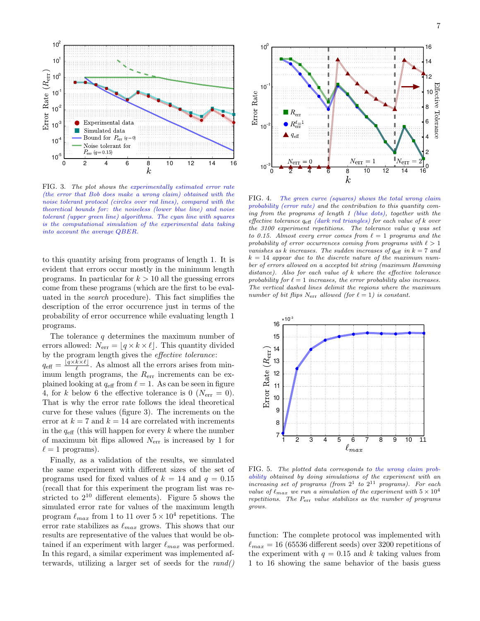

FIG. 3. The plot shows the experimentally estimated error rate (the error that Bob does make a wrong claim) obtained with the noise tolerant protocol (circles over red lines), compared with the theoretical bounds for: the noiseless (lower blue line) and noise tolerant (upper green line) algorithms. The cyan line with squares is the computational simulation of the experimental data taking into account the average QBER.

to this quantity arising from programs of length 1. It is evident that errors occur mostly in the minimum length programs. In particular for  $k > 10$  all the guessing errors come from these programs (which are the first to be evaluated in the search procedure). This fact simplifies the description of the error occurrence just in terms of the probability of error occurrence while evaluating length 1 programs.

The tolerance  $q$  determines the maximum number of errors allowed:  $N_{\text{err}} = |q \times k \times \ell|$ . This quantity divided by the program length gives the effective tolerance:  $q_{\text{eff}} = \frac{\lfloor q \times k \times \ell \rfloor}{\ell}$  $\frac{k \times k}{\ell}$ . As almost all the errors arises from minimum length programs, the  $R_{\text{err}}$  increments can be explained looking at  $q_{\text{eff}}$  from  $\ell = 1$ . As can be seen in figure 4, for k below 6 the effective tolerance is 0 ( $N_{\rm err} = 0$ ). That is why the error rate follows the ideal theoretical curve for these values (figure 3). The increments on the error at  $k = 7$  and  $k = 14$  are correlated with increments in the  $q_{\text{eff}}$  (this will happen for every k where the number of maximum bit flips allowed  $N_{\text{err}}$  is increased by 1 for  $\ell = 1$  programs).

Finally, as a validation of the results, we simulated the same experiment with different sizes of the set of programs used for fixed values of  $k = 14$  and  $q = 0.15$ (recall that for this experiment the program list was restricted to  $2^{10}$  different elements). Figure 5 shows the simulated error rate for values of the maximum length program  $\ell_{max}$  from 1 to 11 over  $5 \times 10^4$  repetitions. The error rate stabilizes as  $\ell_{max}$  grows. This shows that our results are representative of the values that would be obtained if an experiment with larger  $\ell_{max}$  was performed. In this regard, a similar experiment was implemented afterwards, utilizing a larger set of seeds for the  $rand()$ 



FIG. 4. The green curve (squares) shows the total wrong claim probability (error rate) and the contribution to this quantity coming from the programs of length 1 (blue dots), together with the effective tolerance  $q_{\text{eff}}$  (dark red triangles) for each value of k over the 3100 experiment repetitions. The tolerance value q was set to 0.15. Almost every error comes from  $\ell = 1$  programs and the probability of error occurrences coming from programs with  $\ell > 1$ vanishes as k increases. The sudden increases of  $q_{\text{eff}}$  in  $k = 7$  and  $k = 14$  appear due to the discrete nature of the maximum number of errors allowed on a accepted bit string (maximum Hamming distance). Also for each value of k where the effective tolerance probability for  $\ell = 1$  increases, the error probability also increases. The vertical dashed lines delimit the regions where the maximum number of bit flips  $N_{\text{err}}$  allowed (for  $\ell = 1$ ) is constant.



FIG. 5. The plotted data corresponds to the wrong claim probability obtained by doing simulations of the experiment with an increasing set of programs (from  $2^1$  to  $2^{11}$  programs). For each value of  $\ell_{max}$  we run a simulation of the experiment with  $5 \times 10^4$ repetitions. The Perr value stabilizes as the number of programs grows.

function: The complete protocol was implemented with  $\ell_{max} = 16$  (65536 different seeds) over 3200 repetitions of the experiment with  $q = 0.15$  and k taking values from 1 to 16 showing the same behavior of the basis guess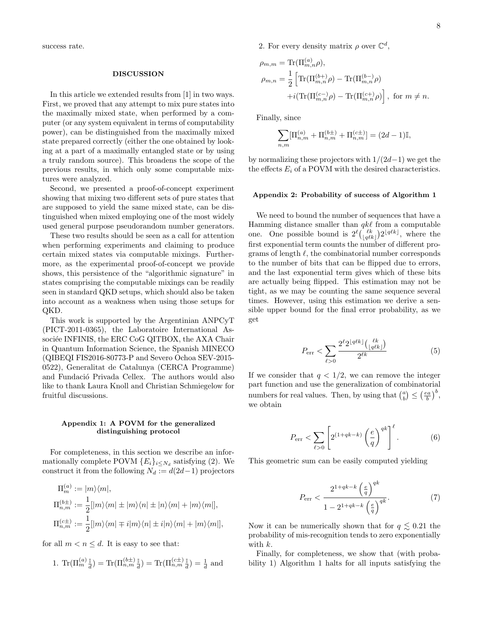success rate.

#### DISCUSSION

In this article we extended results from [1] in two ways. First, we proved that any attempt to mix pure states into the maximally mixed state, when performed by a computer (or any system equivalent in terms of computability power), can be distinguished from the maximally mixed state prepared correctly (either the one obtained by looking at a part of a maximally entangled state or by using a truly random source). This broadens the scope of the previous results, in which only some computable mixtures were analyzed.

Second, we presented a proof-of-concept experiment showing that mixing two different sets of pure states that are supposed to yield the same mixed state, can be distinguished when mixed employing one of the most widely used general purpose pseudorandom number generators.

These two results should be seen as a call for attention when performing experiments and claiming to produce certain mixed states via computable mixings. Furthermore, as the experimental proof-of-concept we provide shows, this persistence of the "algorithmic signature" in states comprising the computable mixings can be readily seen in standard QKD setups, which should also be taken into account as a weakness when using those setups for QKD.

This work is supported by the Argentinian ANPCyT (PICT-2011-0365), the Laboratoire International Associée INFINIS, the ERC CoG QITBOX, the AXA Chair in Quantum Information Science, the Spanish MINECO (QIBEQI FIS2016-80773-P and Severo Ochoa SEV-2015- 0522), Generalitat de Catalunya (CERCA Programme) and Fundació Privada Cellex. The authors would also like to thank Laura Knoll and Christian Schmiegelow for fruitful discussions.

### Appendix 1: A POVM for the generalized distinguishing protocol

For completeness, in this section we describe an informationally complete POVM  ${E_i}_{i \le N_d}$  satisfying (2). We construct it from the following  $N_d := d(2d-1)$  projectors

$$
\Pi_m^{(a)} := |m\rangle\langle m|,
$$
  
\n
$$
\Pi_{n,m}^{(b\pm)} := \frac{1}{2} [ |m\rangle\langle m| \pm |m\rangle\langle n| \pm |n\rangle\langle m| + |m\rangle\langle m| ],
$$
  
\n
$$
\Pi_{n,m}^{(c\pm)} := \frac{1}{2} [ |m\rangle\langle m| \mp i| m\rangle\langle n| \pm i| n\rangle\langle m| + |m\rangle\langle m| ],
$$

for all  $m < n \leq d$ . It is easy to see that:

1. 
$$
\text{Tr}(\Pi_m^{(a)} \frac{\mathbb{I}}{d}) = \text{Tr}(\Pi_{n,m}^{(b\pm)} \frac{\mathbb{I}}{d}) = \text{Tr}(\Pi_{n,m}^{(c\pm)} \frac{\mathbb{I}}{d}) = \frac{1}{d}
$$
 and

2. For every density matrix  $\rho$  over  $\mathbb{C}^d$ ,

$$
\rho_{m,m} = \text{Tr}(\Pi_{m,n}^{(a)} \rho), \n\rho_{m,n} = \frac{1}{2} \left[ \text{Tr}(\Pi_{m,n}^{(b+)} \rho) - \text{Tr}(\Pi_{m,n}^{(b-)} \rho) \right. \n+ i(\text{Tr}(\Pi_{m,n}^{(c-)} \rho) - \text{Tr}(\Pi_{m,n}^{(c+)} \rho) \right], \text{ for } m \neq n.
$$

Finally, since

$$
\sum_{n,m} [\Pi_{n,m}^{(a)} + \Pi_{n,m}^{(b\pm)} + \Pi_{n,m}^{(c\pm)}] = (2d - 1)\mathbb{I},
$$

by normalizing these projectors with  $1/(2d-1)$  we get the the effects  $E_i$  of a POVM with the desired characteristics.

## Appendix 2: Probability of success of Algorithm 1

We need to bound the number of sequences that have a Hamming distance smaller than  $qk\ell$  from a computable one. One possible bound is  $2^{\ell} \binom{\ell k}{|q\ell k|} 2^{\lfloor q\ell k \rfloor}$ , where the first exponential term counts the number of different programs of length  $\ell$ , the combinatorial number corresponds to the number of bits that can be flipped due to errors, and the last exponential term gives which of these bits are actually being flipped. This estimation may not be tight, as we may be counting the same sequence several times. However, using this estimation we derive a sensible upper bound for the final error probability, as we get

$$
P_{\rm err} < \sum_{\ell > 0} \frac{2^{\ell} 2^{\lfloor q\ell k \rfloor} \binom{\ell k}{\lfloor q\ell k \rfloor}}{2^{\ell k}} \tag{5}
$$

If we consider that  $q < 1/2$ , we can remove the integer part function and use the generalization of combinatorial numbers for real values. Then, by using that  $\binom{a}{b} \leq \left(\frac{ea}{b}\right)^b$ , we obtain

$$
P_{\rm err} < \sum_{\ell > 0} \left[ 2^{(1+qk-k)} \left( \frac{e}{q} \right)^{qk} \right]^\ell. \tag{6}
$$

This geometric sum can be easily computed yielding

$$
P_{\text{err}} < \frac{2^{1+qk-k} \left(\frac{e}{q}\right)^{qk}}{1 - 2^{1+qk-k} \left(\frac{e}{q}\right)^{qk}}.\tag{7}
$$

Now it can be numerically shown that for  $q \lesssim 0.21$  the probability of mis-recognition tends to zero exponentially with  $k$ .

Finally, for completeness, we show that (with probability 1) Algorithm 1 halts for all inputs satisfying the